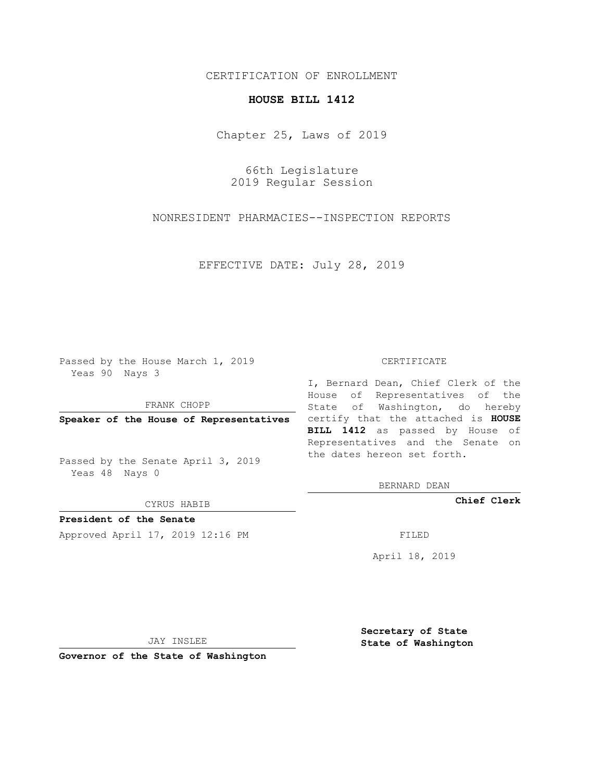## CERTIFICATION OF ENROLLMENT

## **HOUSE BILL 1412**

Chapter 25, Laws of 2019

66th Legislature 2019 Regular Session

NONRESIDENT PHARMACIES--INSPECTION REPORTS

EFFECTIVE DATE: July 28, 2019

Passed by the House March 1, 2019 Yeas 90 Nays 3

FRANK CHOPP

Passed by the Senate April 3, 2019 Yeas 48 Nays 0

CYRUS HABIB

**President of the Senate**

Approved April 17, 2019 12:16 PM FILED

## CERTIFICATE

**Speaker of the House of Representatives** certify that the attached is **HOUSE** I, Bernard Dean, Chief Clerk of the House of Representatives of the State of Washington, do hereby **BILL 1412** as passed by House of Representatives and the Senate on the dates hereon set forth.

BERNARD DEAN

**Chief Clerk**

April 18, 2019

JAY INSLEE

**Governor of the State of Washington**

**Secretary of State State of Washington**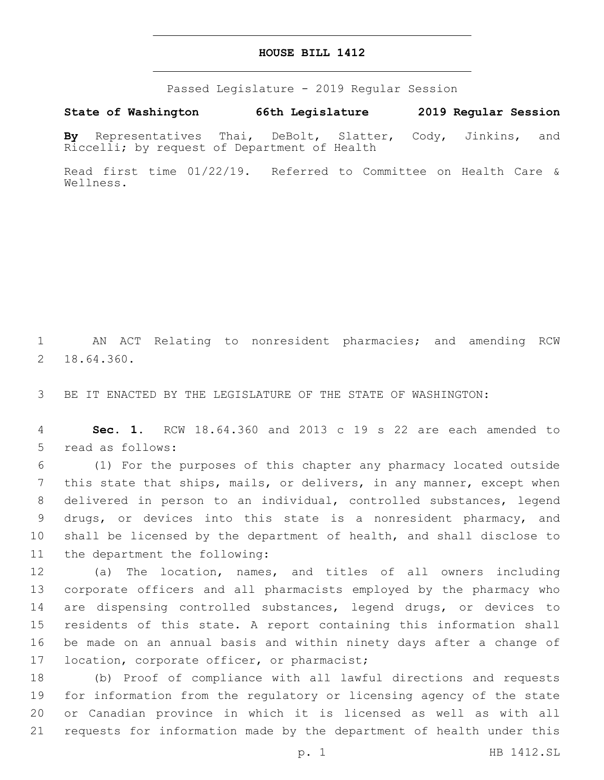## **HOUSE BILL 1412**

Passed Legislature - 2019 Regular Session

**State of Washington 66th Legislature 2019 Regular Session**

**By** Representatives Thai, DeBolt, Slatter, Cody, Jinkins, and Riccelli; by request of Department of Health

Read first time 01/22/19. Referred to Committee on Health Care & Wellness.

1 AN ACT Relating to nonresident pharmacies; and amending RCW 18.64.360.2

3 BE IT ENACTED BY THE LEGISLATURE OF THE STATE OF WASHINGTON:

4 **Sec. 1.** RCW 18.64.360 and 2013 c 19 s 22 are each amended to 5 read as follows:

 (1) For the purposes of this chapter any pharmacy located outside this state that ships, mails, or delivers, in any manner, except when delivered in person to an individual, controlled substances, legend drugs, or devices into this state is a nonresident pharmacy, and shall be licensed by the department of health, and shall disclose to 11 the department the following:

 (a) The location, names, and titles of all owners including corporate officers and all pharmacists employed by the pharmacy who are dispensing controlled substances, legend drugs, or devices to residents of this state. A report containing this information shall be made on an annual basis and within ninety days after a change of 17 location, corporate officer, or pharmacist;

 (b) Proof of compliance with all lawful directions and requests for information from the regulatory or licensing agency of the state or Canadian province in which it is licensed as well as with all requests for information made by the department of health under this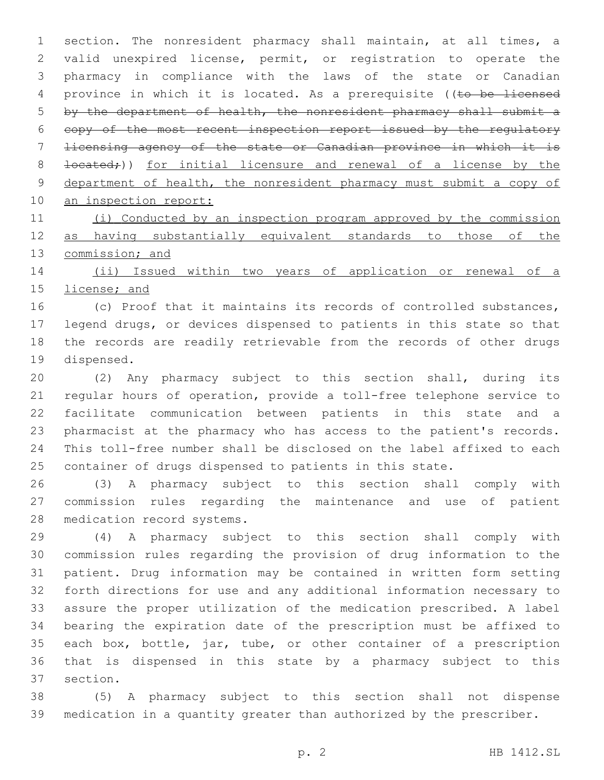section. The nonresident pharmacy shall maintain, at all times, a valid unexpired license, permit, or registration to operate the pharmacy in compliance with the laws of the state or Canadian 4 province in which it is located. As a prerequisite ((to be licensed by the department of health, the nonresident pharmacy shall submit a copy of the most recent inspection report issued by the regulatory licensing agency of the state or Canadian province in which it is 8 <del>located;</del>)) for initial licensure and renewal of a license by the department of health, the nonresident pharmacy must submit a copy of an inspection report:

 (i) Conducted by an inspection program approved by the commission as having substantially equivalent standards to those of the 13 commission; and

 (ii) Issued within two years of application or renewal of a license; and

 (c) Proof that it maintains its records of controlled substances, legend drugs, or devices dispensed to patients in this state so that the records are readily retrievable from the records of other drugs 19 dispensed.

 (2) Any pharmacy subject to this section shall, during its regular hours of operation, provide a toll-free telephone service to facilitate communication between patients in this state and a pharmacist at the pharmacy who has access to the patient's records. This toll-free number shall be disclosed on the label affixed to each container of drugs dispensed to patients in this state.

 (3) A pharmacy subject to this section shall comply with commission rules regarding the maintenance and use of patient 28 medication record systems.

 (4) A pharmacy subject to this section shall comply with commission rules regarding the provision of drug information to the patient. Drug information may be contained in written form setting forth directions for use and any additional information necessary to assure the proper utilization of the medication prescribed. A label bearing the expiration date of the prescription must be affixed to each box, bottle, jar, tube, or other container of a prescription that is dispensed in this state by a pharmacy subject to this 37 section.

 (5) A pharmacy subject to this section shall not dispense medication in a quantity greater than authorized by the prescriber.